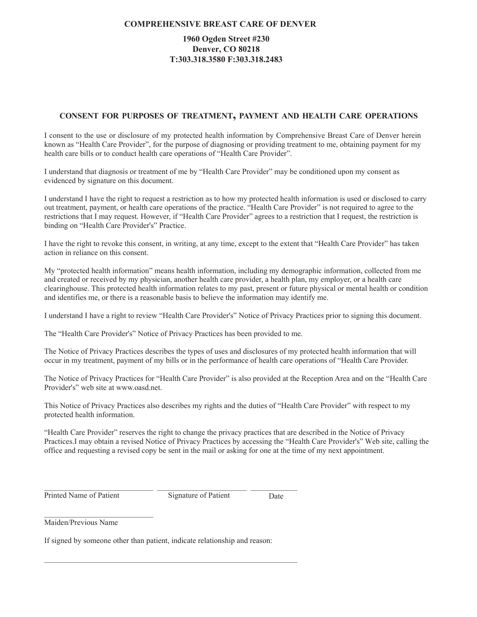### **COMPREHENSIVE BREAST CARE OF DENVER**

## 1960 Ogden Street #230 **Denver, CO 80218** T:303.318.3580 F:303.318.2483

### CONSENT FOR PURPOSES OF TREATMENT, PAYMENT AND HEALTH CARE OPERATIONS

I consent to the use or disclosure of my protected health information by Comprehensive Breast Care of Denver herein known as "Health Care Provider", for the purpose of diagnosing or providing treatment to me, obtaining payment for my health care bills or to conduct health care operations of "Health Care Provider".

I understand that diagnosis or treatment of me by "Health Care Provider" may be conditioned upon my consent as evidenced by signature on this document.

I understand I have the right to request a restriction as to how my protected health information is used or disclosed to carry out treatment, payment, or health care operations of the practice. "Health Care Provider" is not required to agree to the restrictions that I may request. However, if "Health Care Provider" agrees to a restriction that I request, the restriction is binding on "Health Care Provider's" Practice.

I have the right to revoke this consent, in writing, at any time, except to the extent that "Health Care Provider" has taken action in reliance on this consent.

My "protected health information" means health information, including my demographic information, collected from me and created or received by my physician, another health care provider, a health plan, my employer, or a health care clearinghouse. This protected health information relates to my past, present or future physical or mental health or condition and identifies me, or there is a reasonable basis to believe the information may identify me.

I understand I have a right to review "Health Care Provider's" Notice of Privacy Practices prior to signing this document.

The "Health Care Provider's" Notice of Privacy Practices has been provided to me.

The Notice of Privacy Practices describes the types of uses and disclosures of my protected health information that will occur in my treatment, payment of my bills or in the performance of health care operations of "Health Care Provider.

The Notice of Privacy Practices for "Health Care Provider" is also provided at the Reception Area and on the "Health Care Provider's" web site at www.oasd.net.

This Notice of Privacy Practices also describes my rights and the duties of "Health Care Provider" with respect to my protected health information.

"Health Care Provider" reserves the right to change the privacy practices that are described in the Notice of Privacy Practices.I may obtain a revised Notice of Privacy Practices by accessing the "Health Care Provider's" Web site, calling the office and requesting a revised copy be sent in the mail or asking for one at the time of my next appointment.

**Printed Name of Patient** 

Signature of Patient

Date

Maiden/Previous Name

If signed by someone other than patient, indicate relationship and reason: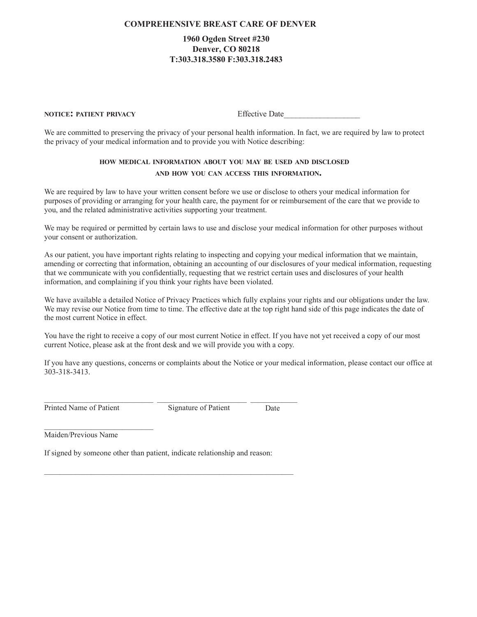### **COMPREHENSIVE BREAST CARE OF DENVER**

## 1960 Ogden Street #230 **Denver, CO 80218** T:303.318.3580 F:303.318.2483

#### **NOTICE: PATIENT PRIVACY**

**Effective Date** 

We are committed to preserving the privacy of your personal health information. In fact, we are required by law to protect the privacy of your medical information and to provide you with Notice describing:

## HOW MEDICAL INFORMATION ABOUT YOU MAY BE USED AND DISCLOSED AND HOW YOU CAN ACCESS THIS INFORMATION.

We are required by law to have your written consent before we use or disclose to others your medical information for purposes of providing or arranging for your health care, the payment for or reimbursement of the care that we provide to you, and the related administrative activities supporting your treatment.

We may be required or permitted by certain laws to use and disclose your medical information for other purposes without your consent or authorization.

As our patient, you have important rights relating to inspecting and copying your medical information that we maintain, amending or correcting that information, obtaining an accounting of our disclosures of your medical information, requesting that we communicate with you confidentially, requesting that we restrict certain uses and disclosures of your health information, and complaining if you think your rights have been violated.

We have available a detailed Notice of Privacy Practices which fully explains your rights and our obligations under the law. We may revise our Notice from time to time. The effective date at the top right hand side of this page indicates the date of the most current Notice in effect.

You have the right to receive a copy of our most current Notice in effect. If you have not yet received a copy of our most current Notice, please ask at the front desk and we will provide you with a copy.

If you have any questions, concerns or complaints about the Notice or your medical information, please contact our office at 303-318-3413.

Printed Name of Patient

Signature of Patient

Date

Maiden/Previous Name

If signed by someone other than patient, indicate relationship and reason: